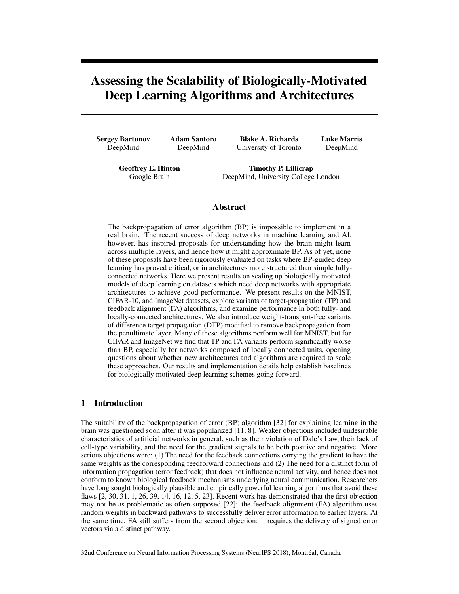# Assessing the Scalability of Biologically-Motivated Deep Learning Algorithms and Architectures

Sergey Bartunov DeepMind

Adam Santoro DeepMind

Blake A. Richards University of Toronto Luke Marris DeepMind

Geoffrey E. Hinton Google Brain

Timothy P. Lillicrap DeepMind, University College London

## Abstract

The backpropagation of error algorithm (BP) is impossible to implement in a real brain. The recent success of deep networks in machine learning and AI, however, has inspired proposals for understanding how the brain might learn across multiple layers, and hence how it might approximate BP. As of yet, none of these proposals have been rigorously evaluated on tasks where BP-guided deep learning has proved critical, or in architectures more structured than simple fullyconnected networks. Here we present results on scaling up biologically motivated models of deep learning on datasets which need deep networks with appropriate architectures to achieve good performance. We present results on the MNIST, CIFAR-10, and ImageNet datasets, explore variants of target-propagation (TP) and feedback alignment (FA) algorithms, and examine performance in both fully- and locally-connected architectures. We also introduce weight-transport-free variants of difference target propagation (DTP) modified to remove backpropagation from the penultimate layer. Many of these algorithms perform well for MNIST, but for CIFAR and ImageNet we find that TP and FA variants perform significantly worse than BP, especially for networks composed of locally connected units, opening questions about whether new architectures and algorithms are required to scale these approaches. Our results and implementation details help establish baselines for biologically motivated deep learning schemes going forward.

# 1 Introduction

The suitability of the backpropagation of error (BP) algorithm [32] for explaining learning in the brain was questioned soon after it was popularized [11, 8]. Weaker objections included undesirable characteristics of artificial networks in general, such as their violation of Dale's Law, their lack of cell-type variability, and the need for the gradient signals to be both positive and negative. More serious objections were: (1) The need for the feedback connections carrying the gradient to have the same weights as the corresponding feedforward connections and (2) The need for a distinct form of information propagation (error feedback) that does not influence neural activity, and hence does not conform to known biological feedback mechanisms underlying neural communication. Researchers have long sought biologically plausible and empirically powerful learning algorithms that avoid these flaws [2, 30, 31, 1, 26, 39, 14, 16, 12, 5, 23]. Recent work has demonstrated that the first objection may not be as problematic as often supposed [22]: the feedback alignment (FA) algorithm uses random weights in backward pathways to successfully deliver error information to earlier layers. At the same time, FA still suffers from the second objection: it requires the delivery of signed error vectors via a distinct pathway.

32nd Conference on Neural Information Processing Systems (NeurIPS 2018), Montreal, Canada. ´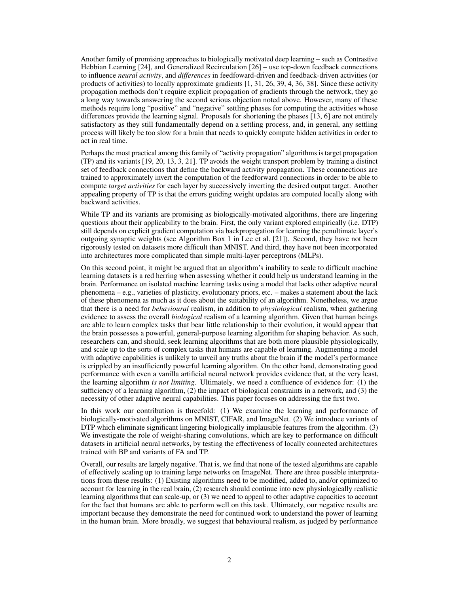Another family of promising approaches to biologically motivated deep learning – such as Contrastive Hebbian Learning [24], and Generalized Recirculation [26] – use top-down feedback connections to influence *neural activity*, and *differences* in feedfoward-driven and feedback-driven activities (or products of activities) to locally approximate gradients [1, 31, 26, 39, 4, 36, 38]. Since these activity propagation methods don't require explicit propagation of gradients through the network, they go a long way towards answering the second serious objection noted above. However, many of these methods require long "positive" and "negative" settling phases for computing the activities whose differences provide the learning signal. Proposals for shortening the phases [13, 6] are not entirely satisfactory as they still fundamentally depend on a settling process, and, in general, any settling process will likely be too slow for a brain that needs to quickly compute hidden activities in order to act in real time.

Perhaps the most practical among this family of "activity propagation" algorithms is target propagation (TP) and its variants [19, 20, 13, 3, 21]. TP avoids the weight transport problem by training a distinct set of feedback connections that define the backward activity propagation. These connnections are trained to approximately invert the computation of the feedforward connections in order to be able to compute *target activities* for each layer by successively inverting the desired output target. Another appealing property of TP is that the errors guiding weight updates are computed locally along with backward activities.

While TP and its variants are promising as biologically-motivated algorithms, there are lingering questions about their applicability to the brain. First, the only variant explored empirically (i.e. DTP) still depends on explicit gradient computation via backpropagation for learning the penultimate layer's outgoing synaptic weights (see Algorithm Box 1 in Lee et al. [21]). Second, they have not been rigorously tested on datasets more difficult than MNIST. And third, they have not been incorporated into architectures more complicated than simple multi-layer perceptrons (MLPs).

On this second point, it might be argued that an algorithm's inability to scale to difficult machine learning datasets is a red herring when assessing whether it could help us understand learning in the brain. Performance on isolated machine learning tasks using a model that lacks other adaptive neural phenomena – e.g., varieties of plasticity, evolutionary priors, etc. – makes a statement about the lack of these phenomena as much as it does about the suitability of an algorithm. Nonetheless, we argue that there is a need for *behavioural* realism, in addition to *physiological* realism, when gathering evidence to assess the overall *biological* realism of a learning algorithm. Given that human beings are able to learn complex tasks that bear little relationship to their evolution, it would appear that the brain possesses a powerful, general-purpose learning algorithm for shaping behavior. As such, researchers can, and should, seek learning algorithms that are both more plausible physiologically, and scale up to the sorts of complex tasks that humans are capable of learning. Augmenting a model with adaptive capabilities is unlikely to unveil any truths about the brain if the model's performance is crippled by an insufficiently powerful learning algorithm. On the other hand, demonstrating good performance with even a vanilla artificial neural network provides evidence that, at the very least, the learning algorithm *is not limiting*. Ultimately, we need a confluence of evidence for: (1) the sufficiency of a learning algorithm, (2) the impact of biological constraints in a network, and (3) the necessity of other adaptive neural capabilities. This paper focuses on addressing the first two.

In this work our contribution is threefold: (1) We examine the learning and performance of biologically-motivated algorithms on MNIST, CIFAR, and ImageNet. (2) We introduce variants of DTP which eliminate significant lingering biologically implausible features from the algorithm. (3) We investigate the role of weight-sharing convolutions, which are key to performance on difficult datasets in artificial neural networks, by testing the effectiveness of locally connected architectures trained with BP and variants of FA and TP.

Overall, our results are largely negative. That is, we find that none of the tested algorithms are capable of effectively scaling up to training large networks on ImageNet. There are three possible interpretations from these results: (1) Existing algorithms need to be modified, added to, and/or optimized to account for learning in the real brain, (2) research should continue into new physiologically realistic learning algorithms that can scale-up, or (3) we need to appeal to other adaptive capacities to account for the fact that humans are able to perform well on this task. Ultimately, our negative results are important because they demonstrate the need for continued work to understand the power of learning in the human brain. More broadly, we suggest that behavioural realism, as judged by performance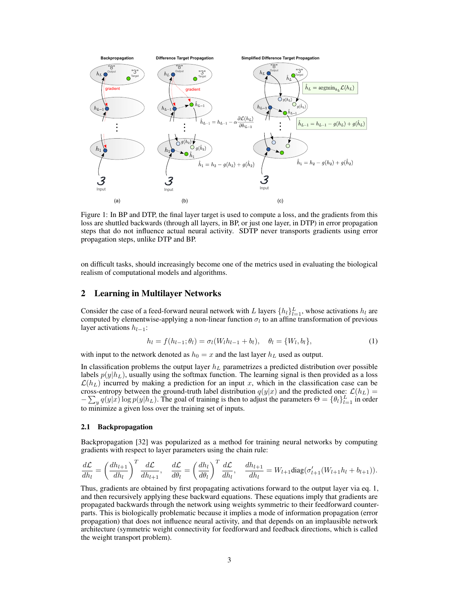

Figure 1: In BP and DTP, the final layer target is used to compute a loss, and the gradients from this loss are shuttled backwards (through all layers, in BP, or just one layer, in DTP) in error propagation steps that do not influence actual neural activity. SDTP never transports gradients using error propagation steps, unlike DTP and BP.

on difficult tasks, should increasingly become one of the metrics used in evaluating the biological realism of computational models and algorithms.

## 2 Learning in Multilayer Networks

Consider the case of a feed-forward neural network with L layers  $\{h_l\}_{l=1}^L$ , whose activations  $h_l$  are computed by elementwise-applying a non-linear function  $\sigma_l$  to an affine transformation of previous layer activations  $h_{l-1}$ :

$$
h_l = f(h_{l-1}; \theta_l) = \sigma_l(W_l h_{l-1} + b_l), \quad \theta_l = \{W_l, b_l\},\tag{1}
$$

with input to the network denoted as  $h_0 = x$  and the last layer  $h_L$  used as output.

In classification problems the output layer  $h<sub>L</sub>$  parametrizes a predicted distribution over possible labels  $p(y|h_L)$ , usually using the softmax function. The learning signal is then provided as a loss  $\mathcal{L}(h_L)$  incurred by making a prediction for an input x, which in the classification case can be cross-entropy between the ground-truth label distribution  $q(y|x)$  and the predicted one:  $\mathcal{L}(h_L)$  =  $-\sum_{y} q(y|x) \log p(y|h_L)$ . The goal of training is then to adjust the parameters  $\Theta = {\theta_l}_{l=1}^L$  in order to minimize a given loss over the training set of inputs.

#### 2.1 Backpropagation

Backpropagation [32] was popularized as a method for training neural networks by computing gradients with respect to layer parameters using the chain rule:

$$
\frac{d\mathcal{L}}{dh_l} = \left(\frac{dh_{l+1}}{dh_l}\right)^T \frac{d\mathcal{L}}{dh_{l+1}}, \quad \frac{d\mathcal{L}}{d\theta_l} = \left(\frac{dh_l}{d\theta_l}\right)^T \frac{d\mathcal{L}}{dh_l}, \quad \frac{dh_{l+1}}{dh_l} = W_{l+1} \text{diag}(\sigma'_{l+1}(W_{l+1}h_l + b_{l+1})).
$$

Thus, gradients are obtained by first propagating activations forward to the output layer via eq. 1, and then recursively applying these backward equations. These equations imply that gradients are propagated backwards through the network using weights symmetric to their feedforward counterparts. This is biologically problematic because it implies a mode of information propagation (error propagation) that does not influence neural activity, and that depends on an implausible network architecture (symmetric weight connectivity for feedforward and feedback directions, which is called the weight transport problem).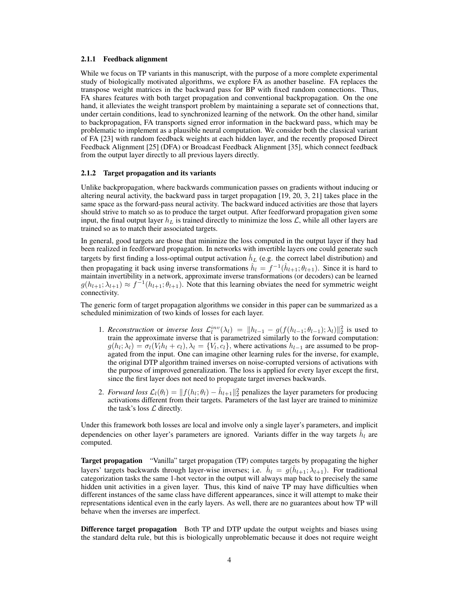#### 2.1.1 Feedback alignment

While we focus on TP variants in this manuscript, with the purpose of a more complete experimental study of biologically motivated algorithms, we explore FA as another baseline. FA replaces the transpose weight matrices in the backward pass for BP with fixed random connections. Thus, FA shares features with both target propagation and conventional backpropagation. On the one hand, it alleviates the weight transport problem by maintaining a separate set of connections that, under certain conditions, lead to synchronized learning of the network. On the other hand, similar to backpropagation, FA transports signed error information in the backward pass, which may be problematic to implement as a plausible neural computation. We consider both the classical variant of FA [23] with random feedback weights at each hidden layer, and the recently proposed Direct Feedback Alignment [25] (DFA) or Broadcast Feedback Alignment [35], which connect feedback from the output layer directly to all previous layers directly.

#### 2.1.2 Target propagation and its variants

Unlike backpropagation, where backwards communication passes on gradients without inducing or altering neural activity, the backward pass in target propagation [19, 20, 3, 21] takes place in the same space as the forward-pass neural activity. The backward induced activities are those that layers should strive to match so as to produce the target output. After feedforward propagation given some input, the final output layer  $h_L$  is trained directly to minimize the loss  $\mathcal{L}$ , while all other layers are trained so as to match their associated targets.

In general, good targets are those that minimize the loss computed in the output layer if they had been realized in feedforward propagation. In networks with invertible layers one could generate such targets by first finding a loss-optimal output activation  $\hat{h}_L$  (e.g. the correct label distribution) and then propagating it back using inverse transformations  $\hat{h}_l = f^{-1}(\hat{h}_{l+1}; \theta_{l+1})$ . Since it is hard to maintain invertibility in a network, approximate inverse transformations (or decoders) can be learned  $g(h_{l+1}; \lambda_{l+1}) \approx f^{-1}(h_{l+1}; \theta_{l+1})$ . Note that this learning obviates the need for symmetric weight connectivity.

The generic form of target propagation algorithms we consider in this paper can be summarized as a scheduled minimization of two kinds of losses for each layer.

- 1. *Reconstruction* or *inverse loss*  $\mathcal{L}_l^{inv}(\lambda_l) = ||h_{l-1} g(f(h_{l-1}; \theta_{l-1}); \lambda_l)||_2^2$  is used to train the approximate inverse that is parametrized similarly to the forward computation:  $g(h_l; \lambda_l) = \sigma_l(V_l h_l + c_l), \lambda_l = \{V_l, c_l\}$ , where activations  $h_{l-1}$  are assumed to be propagated from the input. One can imagine other learning rules for the inverse, for example, the original DTP algorithm trained inverses on noise-corrupted versions of activations with the purpose of improved generalization. The loss is applied for every layer except the first, since the first layer does not need to propagate target inverses backwards.
- 2. *Forward loss*  $\mathcal{L}_l(\theta_l) = ||f(h_l; \theta_l) \hat{h}_{l+1}||_2^2$  penalizes the layer parameters for producing activations different from their targets. Parameters of the last layer are trained to minimize the task's loss  $\mathcal L$  directly.

Under this framework both losses are local and involve only a single layer's parameters, and implicit dependencies on other layer's parameters are ignored. Variants differ in the way targets  $\hat{h}_l$  are computed.

Target propagation "Vanilla" target propagation (TP) computes targets by propagating the higher layers' targets backwards through layer-wise inverses; i.e.  $\hat{h}_l = g(\hat{h}_{l+1}; \lambda_{l+1})$ . For traditional categorization tasks the same 1-hot vector in the output will always map back to precisely the same hidden unit activities in a given layer. Thus, this kind of naive TP may have difficulties when different instances of the same class have different appearances, since it will attempt to make their representations identical even in the early layers. As well, there are no guarantees about how TP will behave when the inverses are imperfect.

Difference target propagation Both TP and DTP update the output weights and biases using the standard delta rule, but this is biologically unproblematic because it does not require weight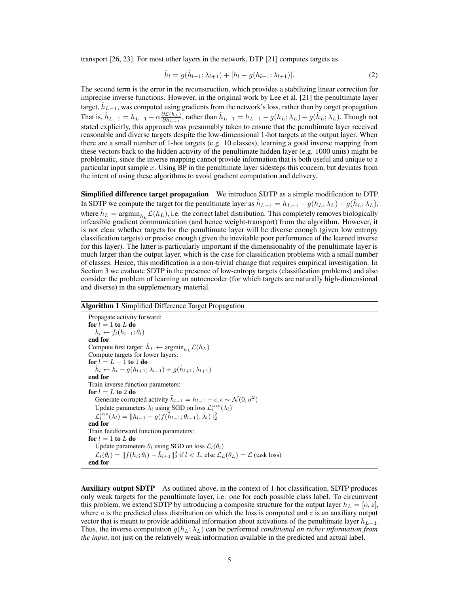transport [26, 23]. For most other layers in the network, DTP [21] computes targets as

$$
\hat{h}_l = g(\hat{h}_{l+1}; \lambda_{l+1}) + [h_l - g(h_{l+1}; \lambda_{l+1})]. \tag{2}
$$

The second term is the error in the reconstruction, which provides a stabilizing linear correction for imprecise inverse functions. However, in the original work by Lee et al. [21] the penultimate layer target,  $\hat{h}_{L-1}$ , was computed using gradients from the network's loss, rather than by target propagation. That is,  $\hat{h}_{L-1} = h_{L-1} - \alpha \frac{\partial \mathcal{L}(h_L)}{\partial h_{L-1}}$  $\frac{\partial \mathcal{L}(h_L)}{\partial h_{L-1}}$ , rather than  $\hat{h}_{L-1} = h_{L-1} - g(h_L; \lambda_L) + g(\hat{h}_L; \lambda_L)$ . Though not stated explicitly, this approach was presumably taken to ensure that the penultimate layer received reasonable and diverse targets despite the low-dimensional 1-hot targets at the output layer. When there are a small number of 1-hot targets (e.g. 10 classes), learning a good inverse mapping from these vectors back to the hidden activity of the penultimate hidden layer (e.g. 1000 units) might be problematic, since the inverse mapping cannot provide information that is both useful and unique to a particular input sample  $x$ . Using BP in the penultimate layer sidesteps this concern, but deviates from the intent of using these algorithms to avoid gradient computation and delivery.

Simplified difference target propagation We introduce SDTP as a simple modification to DTP. In SDTP we compute the target for the penultimate layer as  $\hat{h}_{L-1} = h_{L-1} - g(h_L; \lambda_L) + g(\hat{h}_L; \lambda_L)$ , where  $\hat{h}_L = \text{argmin}_{h_L} \mathcal{L}(h_L)$ , i.e. the correct label distribution. This completely removes biologically infeasible gradient communication (and hence weight-transport) from the algorithm. However, it is not clear whether targets for the penultimate layer will be diverse enough (given low entropy classification targets) or precise enough (given the inevitable poor performance of the learned inverse for this layer). The latter is particularly important if the dimensionality of the penultimate layer is much larger than the output layer, which is the case for classification problems with a small number of classes. Hence, this modification is a non-trivial change that requires empirical investigation. In Section 3 we evaluate SDTP in the presence of low-entropy targets (classification problems) and also consider the problem of learning an autoencoder (for which targets are naturally high-dimensional and diverse) in the supplementary material.

#### Algorithm 1 Simplified Difference Target Propagation

Propagate activity forward: for  $l = 1$  to L do  $h_l \leftarrow f_l(h_{l-1}; \theta_l)$ end for Compute first target:  $\hat{h}_L \leftarrow \operatorname{argmin}_{h_L} \mathcal{L}(h_L)$ Compute targets for lower layers: for  $l = L - 1$  to 1 do  $\hat{h}_l \leftarrow h_l - g(h_{l+1}; \lambda_{l+1}) + g(\hat{h}_{l+1}; \lambda_{l+1})$ end for Train inverse function parameters: for  $l = L$  to 2 do Generate corrupted activity  $\tilde{h}_{l-1} = h_{l-1} + \epsilon, \epsilon \sim \mathcal{N}(0, \sigma^2)$ Update parameters  $\lambda_l$  using SGD on loss  $\mathcal{L}_l^{inv}(\lambda_l)$  $\mathcal{L}^{inv}_l(\lambda_l) = \|h_{l-1} - g(f(\tilde{h}_{l-1}; \theta_{l-1}); \lambda_l)\|_2^2$ end for Train feedforward function parameters: for  $l = 1$  to  $L$  do Update parameters  $\theta_l$  using SGD on loss  $\mathcal{L}_l(\theta_l)$  $\mathcal{L}_l(\theta_l) = ||f(h_l; \theta_l) - \hat{h}_{l+1}||_2^2$  if  $l < L$ , else  $\mathcal{L}_L(\theta_L) = \mathcal{L}$  (task loss) end for

Auxiliary output SDTP As outlined above, in the context of 1-hot classification, SDTP produces only weak targets for the penultimate layer, i.e. one for each possible class label. To circumvent this problem, we extend SDTP by introducing a composite structure for the output layer  $h_L = [o, z]$ , where  $\dot{o}$  is the predicted class distribution on which the loss is computed and  $z$  is an auxiliary output vector that is meant to provide additional information about activations of the penultimate layer  $h_{L-1}$ . Thus, the inverse computation  $g(h_L; \lambda_L)$  can be performed *conditional on richer information from the input*, not just on the relatively weak information available in the predicted and actual label.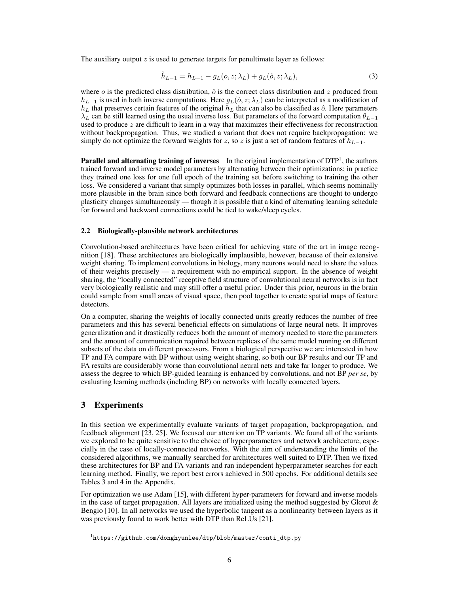The auxiliary output  $z$  is used to generate targets for penultimate layer as follows:

$$
\hat{h}_{L-1} = h_{L-1} - g_L(o, z; \lambda_L) + g_L(\hat{o}, z; \lambda_L),
$$
\n(3)

where  $\dot{o}$  is the predicted class distribution,  $\dot{o}$  is the correct class distribution and z produced from  $h_{L-1}$  is used in both inverse computations. Here  $g_L(\hat{o}, z; \lambda_L)$  can be interpreted as a modification of  $h<sub>L</sub>$  that preserves certain features of the original  $h<sub>L</sub>$  that can also be classified as  $\hat{o}$ . Here parameters  $\lambda_L$  can be still learned using the usual inverse loss. But parameters of the forward computation  $\theta_{L-1}$ used to produce  $z$  are difficult to learn in a way that maximizes their effectiveness for reconstruction without backpropagation. Thus, we studied a variant that does not require backpropagation: we simply do not optimize the forward weights for z, so z is just a set of random features of  $h_{L-1}$ .

**Parallel and alternating training of inverses** In the original implementation of  $DTP<sup>1</sup>$ , the authors trained forward and inverse model parameters by alternating between their optimizations; in practice they trained one loss for one full epoch of the training set before switching to training the other loss. We considered a variant that simply optimizes both losses in parallel, which seems nominally more plausible in the brain since both forward and feedback connections are thought to undergo plasticity changes simultaneously — though it is possible that a kind of alternating learning schedule for forward and backward connections could be tied to wake/sleep cycles.

#### 2.2 Biologically-plausible network architectures

Convolution-based architectures have been critical for achieving state of the art in image recognition [18]. These architectures are biologically implausible, however, because of their extensive weight sharing. To implement convolutions in biology, many neurons would need to share the values of their weights precisely — a requirement with no empirical support. In the absence of weight sharing, the "locally connected" receptive field structure of convolutional neural networks is in fact very biologically realistic and may still offer a useful prior. Under this prior, neurons in the brain could sample from small areas of visual space, then pool together to create spatial maps of feature detectors.

On a computer, sharing the weights of locally connected units greatly reduces the number of free parameters and this has several beneficial effects on simulations of large neural nets. It improves generalization and it drastically reduces both the amount of memory needed to store the parameters and the amount of communication required between replicas of the same model running on different subsets of the data on different processors. From a biological perspective we are interested in how TP and FA compare with BP without using weight sharing, so both our BP results and our TP and FA results are considerably worse than convolutional neural nets and take far longer to produce. We assess the degree to which BP-guided learning is enhanced by convolutions, and not BP *per se*, by evaluating learning methods (including BP) on networks with locally connected layers.

# 3 Experiments

In this section we experimentally evaluate variants of target propagation, backpropagation, and feedback alignment [23, 25]. We focused our attention on TP variants. We found all of the variants we explored to be quite sensitive to the choice of hyperparameters and network architecture, especially in the case of locally-connected networks. With the aim of understanding the limits of the considered algorithms, we manually searched for architectures well suited to DTP. Then we fixed these architectures for BP and FA variants and ran independent hyperparameter searches for each learning method. Finally, we report best errors achieved in 500 epochs. For additional details see Tables 3 and 4 in the Appendix.

For optimization we use Adam [15], with different hyper-parameters for forward and inverse models in the case of target propagation. All layers are initialized using the method suggested by Glorot  $\&$ Bengio [10]. In all networks we used the hyperbolic tangent as a nonlinearity between layers as it was previously found to work better with DTP than ReLUs [21].

<sup>1</sup> https://github.com/donghyunlee/dtp/blob/master/conti\_dtp.py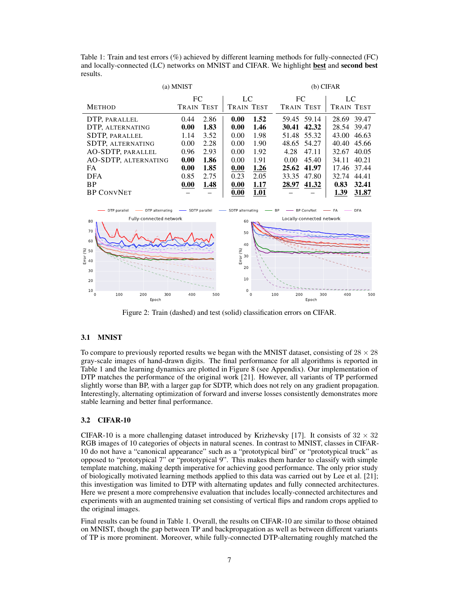Table 1: Train and test errors (%) achieved by different learning methods for fully-connected (FC) and locally-connected (LC) networks on MNIST and CIFAR. We highlight best and second best results.

| (a) MNIST                                                                                                                       |                   |      |                   |      |                   | (b) CIFAR                 |       |                   |  |
|---------------------------------------------------------------------------------------------------------------------------------|-------------------|------|-------------------|------|-------------------|---------------------------|-------|-------------------|--|
|                                                                                                                                 | FC                |      | LC                |      | FC                |                           | LC    |                   |  |
| <b>METHOD</b>                                                                                                                   | <b>TRAIN TEST</b> |      | <b>TRAIN TEST</b> |      | <b>TRAIN TEST</b> |                           |       | <b>TRAIN TEST</b> |  |
| DTP, PARALLEL                                                                                                                   | 0.44              | 2.86 | 0.00              | 1.52 |                   | 59.45 59.14               |       | 28.69 39.47       |  |
| DTP, ALTERNATING                                                                                                                | 0.00              | 1.83 | 0.00              | 1.46 |                   | 30.41 42.32               | 28.54 | 39.47             |  |
| SDTP, PARALLEL                                                                                                                  | 1.14              | 3.52 | 0.00              | 1.98 |                   | 51.48 55.32               | 43.00 | 46.63             |  |
| <b>SDTP, ALTERNATING</b>                                                                                                        | 0.00              | 2.28 | 0.00              | 1.90 |                   | 48.65 54.27               | 40.40 | 45.66             |  |
| AO-SDTP, PARALLEL                                                                                                               | 0.96              | 2.93 | 0.00              | 1.92 | 4.28              | 47.11                     | 32.67 | 40.05             |  |
| AO-SDTP, ALTERNATING                                                                                                            | 0.00              | 1.86 | 0.00              | 1.91 | 0.00              | 45.40                     | 34.11 | 40.21             |  |
| FA.                                                                                                                             | 0.00              | 1.85 | 0.00              | 1.26 |                   | 25.62 41.97               | 17.46 | 37.44             |  |
| <b>DFA</b>                                                                                                                      | 0.85              | 2.75 | 0.23              | 2.05 | 33.35             | 47.80                     | 32.74 | 44.41             |  |
| <b>BP</b>                                                                                                                       | 0.00              | 1.48 | 0.00              | 1.17 |                   | 28.97 41.32               | 0.83  | 32.41             |  |
| <b>BP CONVNET</b>                                                                                                               |                   |      | 0.00              | 1.01 |                   |                           | 1.39  | 31.87             |  |
| - DTP alternating<br>-SDTP parallel<br>- SDTP alternating<br>DTP parallel<br><b>BP ConvNet</b><br><b>DFA</b><br><b>BP</b><br>FA |                   |      |                   |      |                   |                           |       |                   |  |
| Fully-connected network<br>80                                                                                                   |                   |      | 60                |      |                   | Locally-connected network |       |                   |  |
| 70<br>50<br>60<br>40                                                                                                            |                   |      |                   |      |                   |                           |       |                   |  |
|                                                                                                                                 |                   |      |                   |      |                   |                           |       |                   |  |
| $\frac{6}{6}$ 50<br>Eric 40<br>Error (%)<br>30                                                                                  |                   |      |                   |      |                   |                           |       |                   |  |
| 30                                                                                                                              |                   |      | 20                |      |                   |                           |       |                   |  |

Figure 2: Train (dashed) and test (solid) classification errors on CIFAR.

 $\overline{0}$ 10

0 100 200 300 400 500 Epoch

## 3.1 MNIST

 $10<sub>0</sub>$ 20

0 100 200 300 400 500 Epoch

To compare to previously reported results we began with the MNIST dataset, consisting of  $28 \times 28$ gray-scale images of hand-drawn digits. The final performance for all algorithms is reported in Table 1 and the learning dynamics are plotted in Figure 8 (see Appendix). Our implementation of DTP matches the performance of the original work [21]. However, all variants of TP performed slightly worse than BP, with a larger gap for SDTP, which does not rely on any gradient propagation. Interestingly, alternating optimization of forward and inverse losses consistently demonstrates more stable learning and better final performance.

#### 3.2 CIFAR-10

CIFAR-10 is a more challenging dataset introduced by Krizhevsky [17]. It consists of  $32 \times 32$ RGB images of 10 categories of objects in natural scenes. In contrast to MNIST, classes in CIFAR-10 do not have a "canonical appearance" such as a "prototypical bird" or "prototypical truck" as opposed to "prototypical 7" or "prototypical 9". This makes them harder to classify with simple template matching, making depth imperative for achieving good performance. The only prior study of biologically motivated learning methods applied to this data was carried out by Lee et al. [21]; this investigation was limited to DTP with alternating updates and fully connected architectures. Here we present a more comprehensive evaluation that includes locally-connected architectures and experiments with an augmented training set consisting of vertical flips and random crops applied to the original images.

Final results can be found in Table 1. Overall, the results on CIFAR-10 are similar to those obtained on MNIST, though the gap between TP and backpropagation as well as between different variants of TP is more prominent. Moreover, while fully-connected DTP-alternating roughly matched the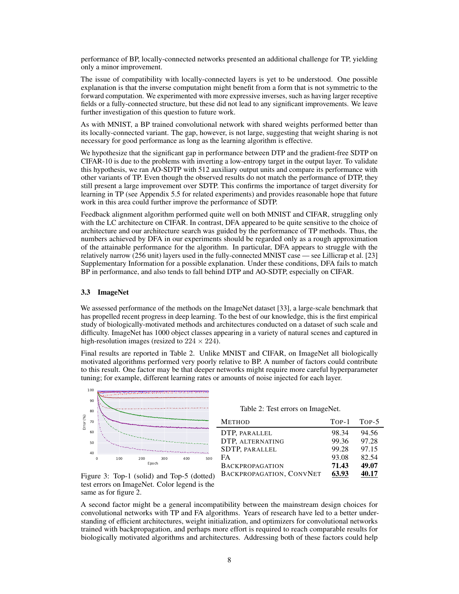performance of BP, locally-connected networks presented an additional challenge for TP, yielding only a minor improvement.

The issue of compatibility with locally-connected layers is yet to be understood. One possible explanation is that the inverse computation might benefit from a form that is not symmetric to the forward computation. We experimented with more expressive inverses, such as having larger receptive fields or a fully-connected structure, but these did not lead to any significant improvements. We leave further investigation of this question to future work.

As with MNIST, a BP trained convolutional network with shared weights performed better than its locally-connected variant. The gap, however, is not large, suggesting that weight sharing is not necessary for good performance as long as the learning algorithm is effective.

We hypothesize that the significant gap in performance between DTP and the gradient-free SDTP on CIFAR-10 is due to the problems with inverting a low-entropy target in the output layer. To validate this hypothesis, we ran AO-SDTP with 512 auxiliary output units and compare its performance with other variants of TP. Even though the observed results do not match the performance of DTP, they still present a large improvement over SDTP. This confirms the importance of target diversity for learning in TP (see Appendix 5.5 for related experiments) and provides reasonable hope that future work in this area could further improve the performance of SDTP.

Feedback alignment algorithm performed quite well on both MNIST and CIFAR, struggling only with the LC architecture on CIFAR. In contrast, DFA appeared to be quite sensitive to the choice of architecture and our architecture search was guided by the performance of TP methods. Thus, the numbers achieved by DFA in our experiments should be regarded only as a rough approximation of the attainable performance for the algorithm. In particular, DFA appears to struggle with the relatively narrow (256 unit) layers used in the fully-connected MNIST case — see Lillicrap et al. [23] Supplementary Information for a possible explanation. Under these conditions, DFA fails to match BP in performance, and also tends to fall behind DTP and AO-SDTP, especially on CIFAR.

#### 3.3 ImageNet

We assessed performance of the methods on the ImageNet dataset [33], a large-scale benchmark that has propelled recent progress in deep learning. To the best of our knowledge, this is the first empirical study of biologically-motivated methods and architectures conducted on a dataset of such scale and difficulty. ImageNet has 1000 object classes appearing in a variety of natural scenes and captured in high-resolution images (resized to  $224 \times 224$ ).

Final results are reported in Table 2. Unlike MNIST and CIFAR, on ImageNet all biologically motivated algorithms performed very poorly relative to BP. A number of factors could contribute to this result. One factor may be that deeper networks might require more careful hyperparameter tuning; for example, different learning rates or amounts of noise injected for each layer.



Figure 3: Top-1 (solid) and Top-5 (dotted) test errors on ImageNet. Color legend is the same as for figure 2.

Table 2: Test errors on ImageNet.

| <b>METHOD</b>            |       | TOP-1 TOP-5 |
|--------------------------|-------|-------------|
| DTP, PARALLEL            | 98.34 | 94.56       |
| DTP, ALTERNATING         | 99.36 | 97.28       |
| <b>SDTP, PARALLEL</b>    | 99.28 | 97.15       |
| <b>FA</b>                | 93.08 | 82.54       |
| <b>BACKPROPAGATION</b>   | 71.43 | 49.07       |
| BACKPROPAGATION, CONVNET | 63.93 | 40.17       |
|                          |       |             |

A second factor might be a general incompatibility between the mainstream design choices for convolutional networks with TP and FA algorithms. Years of research have led to a better understanding of efficient architectures, weight initialization, and optimizers for convolutional networks trained with backpropagation, and perhaps more effort is required to reach comparable results for biologically motivated algorithms and architectures. Addressing both of these factors could help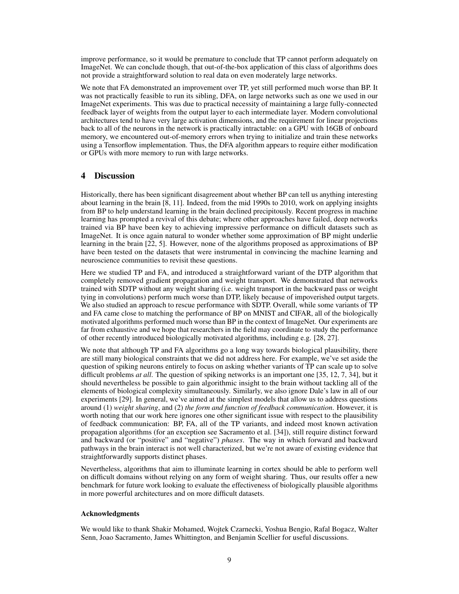improve performance, so it would be premature to conclude that TP cannot perform adequately on ImageNet. We can conclude though, that out-of-the-box application of this class of algorithms does not provide a straightforward solution to real data on even moderately large networks.

We note that FA demonstrated an improvement over TP, yet still performed much worse than BP. It was not practically feasible to run its sibling, DFA, on large networks such as one we used in our ImageNet experiments. This was due to practical necessity of maintaining a large fully-connected feedback layer of weights from the output layer to each intermediate layer. Modern convolutional architectures tend to have very large activation dimensions, and the requirement for linear projections back to all of the neurons in the network is practically intractable: on a GPU with 16GB of onboard memory, we encountered out-of-memory errors when trying to initialize and train these networks using a Tensorflow implementation. Thus, the DFA algorithm appears to require either modification or GPUs with more memory to run with large networks.

# 4 Discussion

Historically, there has been significant disagreement about whether BP can tell us anything interesting about learning in the brain [8, 11]. Indeed, from the mid 1990s to 2010, work on applying insights from BP to help understand learning in the brain declined precipitously. Recent progress in machine learning has prompted a revival of this debate; where other approaches have failed, deep networks trained via BP have been key to achieving impressive performance on difficult datasets such as ImageNet. It is once again natural to wonder whether some approximation of BP might underlie learning in the brain [22, 5]. However, none of the algorithms proposed as approximations of BP have been tested on the datasets that were instrumental in convincing the machine learning and neuroscience communities to revisit these questions.

Here we studied TP and FA, and introduced a straightforward variant of the DTP algorithm that completely removed gradient propagation and weight transport. We demonstrated that networks trained with SDTP without any weight sharing (i.e. weight transport in the backward pass or weight tying in convolutions) perform much worse than DTP, likely because of impoverished output targets. We also studied an approach to rescue performance with SDTP. Overall, while some variants of TP and FA came close to matching the performance of BP on MNIST and CIFAR, all of the biologically motivated algorithms performed much worse than BP in the context of ImageNet. Our experiments are far from exhaustive and we hope that researchers in the field may coordinate to study the performance of other recently introduced biologically motivated algorithms, including e.g. [28, 27].

We note that although TP and FA algorithms go a long way towards biological plausibility, there are still many biological constraints that we did not address here. For example, we've set aside the question of spiking neurons entirely to focus on asking whether variants of TP can scale up to solve difficult problems *at all*. The question of spiking networks is an important one [35, 12, 7, 34], but it should nevertheless be possible to gain algorithmic insight to the brain without tackling all of the elements of biological complexity simultaneously. Similarly, we also ignore Dale's law in all of our experiments [29]. In general, we've aimed at the simplest models that allow us to address questions around (1) *weight sharing*, and (2) *the form and function of feedback communication*. However, it is worth noting that our work here ignores one other significant issue with respect to the plausibility of feedback communication: BP, FA, all of the TP variants, and indeed most known activation propagation algorithms (for an exception see Sacramento et al. [34]), still require distinct forward and backward (or "positive" and "negative") *phases*. The way in which forward and backward pathways in the brain interact is not well characterized, but we're not aware of existing evidence that straightforwardly supports distinct phases.

Nevertheless, algorithms that aim to illuminate learning in cortex should be able to perform well on difficult domains without relying on any form of weight sharing. Thus, our results offer a new benchmark for future work looking to evaluate the effectiveness of biologically plausible algorithms in more powerful architectures and on more difficult datasets.

## Acknowledgments

We would like to thank Shakir Mohamed, Wojtek Czarnecki, Yoshua Bengio, Rafal Bogacz, Walter Senn, Joao Sacramento, James Whittington, and Benjamin Scellier for useful discussions.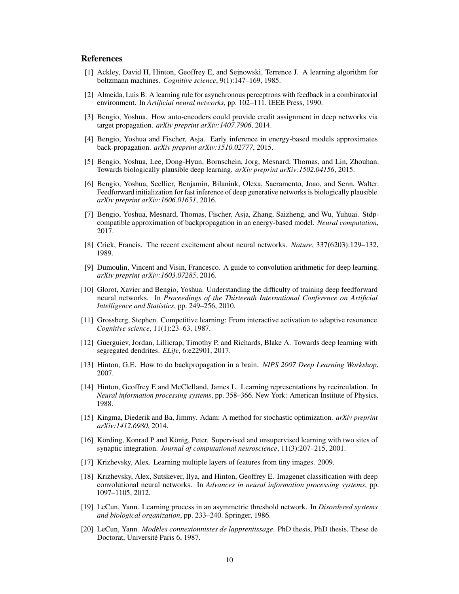## References

- [1] Ackley, David H, Hinton, Geoffrey E, and Sejnowski, Terrence J. A learning algorithm for boltzmann machines. *Cognitive science*, 9(1):147–169, 1985.
- [2] Almeida, Luis B. A learning rule for asynchronous perceptrons with feedback in a combinatorial environment. In *Artificial neural networks*, pp. 102–111. IEEE Press, 1990.
- [3] Bengio, Yoshua. How auto-encoders could provide credit assignment in deep networks via target propagation. *arXiv preprint arXiv:1407.7906*, 2014.
- [4] Bengio, Yoshua and Fischer, Asja. Early inference in energy-based models approximates back-propagation. *arXiv preprint arXiv:1510.02777*, 2015.
- [5] Bengio, Yoshua, Lee, Dong-Hyun, Bornschein, Jorg, Mesnard, Thomas, and Lin, Zhouhan. Towards biologically plausible deep learning. *arXiv preprint arXiv:1502.04156*, 2015.
- [6] Bengio, Yoshua, Scellier, Benjamin, Bilaniuk, Olexa, Sacramento, Joao, and Senn, Walter. Feedforward initialization for fast inference of deep generative networks is biologically plausible. *arXiv preprint arXiv:1606.01651*, 2016.
- [7] Bengio, Yoshua, Mesnard, Thomas, Fischer, Asja, Zhang, Saizheng, and Wu, Yuhuai. Stdpcompatible approximation of backpropagation in an energy-based model. *Neural computation*, 2017.
- [8] Crick, Francis. The recent excitement about neural networks. *Nature*, 337(6203):129–132, 1989.
- [9] Dumoulin, Vincent and Visin, Francesco. A guide to convolution arithmetic for deep learning. *arXiv preprint arXiv:1603.07285*, 2016.
- [10] Glorot, Xavier and Bengio, Yoshua. Understanding the difficulty of training deep feedforward neural networks. In *Proceedings of the Thirteenth International Conference on Artificial Intelligence and Statistics*, pp. 249–256, 2010.
- [11] Grossberg, Stephen. Competitive learning: From interactive activation to adaptive resonance. *Cognitive science*, 11(1):23–63, 1987.
- [12] Guerguiev, Jordan, Lillicrap, Timothy P, and Richards, Blake A. Towards deep learning with segregated dendrites. *ELife*, 6:e22901, 2017.
- [13] Hinton, G.E. How to do backpropagation in a brain. *NIPS 2007 Deep Learning Workshop*, 2007.
- [14] Hinton, Geoffrey E and McClelland, James L. Learning representations by recirculation. In *Neural information processing systems*, pp. 358–366. New York: American Institute of Physics, 1988.
- [15] Kingma, Diederik and Ba, Jimmy. Adam: A method for stochastic optimization. *arXiv preprint arXiv:1412.6980*, 2014.
- [16] Körding, Konrad P and König, Peter. Supervised and unsupervised learning with two sites of synaptic integration. *Journal of computational neuroscience*, 11(3):207–215, 2001.
- [17] Krizhevsky, Alex. Learning multiple layers of features from tiny images. 2009.
- [18] Krizhevsky, Alex, Sutskever, Ilya, and Hinton, Geoffrey E. Imagenet classification with deep convolutional neural networks. In *Advances in neural information processing systems*, pp. 1097–1105, 2012.
- [19] LeCun, Yann. Learning process in an asymmetric threshold network. In *Disordered systems and biological organization*, pp. 233–240. Springer, 1986.
- [20] LeCun, Yann. *Modeles connexionnistes de lapprentissage `* . PhD thesis, PhD thesis, These de Doctorat, Université Paris 6, 1987.